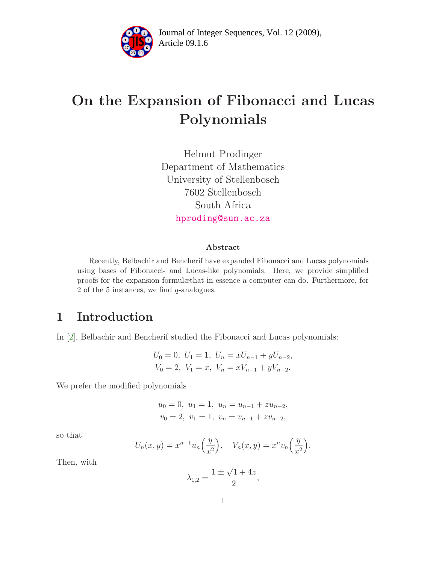

Article 09.1.6 **<sup>2</sup>** Journal of Integer Sequences, Vol. 12 (2009),

# On the Expansion of Fibonacci and Lucas Polynomials

Helmut Prodinger Department of Mathematics University of Stellenbosch 7602 Stellenbosch South Africa [hproding@sun.ac.za](mailto:hproding@sun.ac.za)

### Abstract

Recently, Belbachir and Bencherif have expanded Fibonacci and Lucas polynomials using bases of Fibonacci- and Lucas-like polynomials. Here, we provide simplified proofs for the expansion formulæthat in essence a computer can do. Furthermore, for 2 of the 5 instances, we find  $q$ -analogues.

## 1 Introduction

In [\[2\]](#page-4-0), Belbachir and Bencherif studied the Fibonacci and Lucas polynomials:

$$
U_0 = 0
$$
,  $U_1 = 1$ ,  $U_n = xU_{n-1} + yU_{n-2}$ ,  
\n $V_0 = 2$ ,  $V_1 = x$ ,  $V_n = xV_{n-1} + yV_{n-2}$ .

We prefer the modified polynomials

$$
u_0 = 0
$$
,  $u_1 = 1$ ,  $u_n = u_{n-1} + zu_{n-2}$ ,  
 $v_0 = 2$ ,  $v_1 = 1$ ,  $v_n = v_{n-1} + zv_{n-2}$ ,

so that

$$
U_n(x,y) = x^{n-1}u_n\left(\frac{y}{x^2}\right), \quad V_n(x,y) = x^n v_n\left(\frac{y}{x^2}\right).
$$

Then, with

$$
\lambda_{1,2} = \frac{1 \pm \sqrt{1+4z}}{2},
$$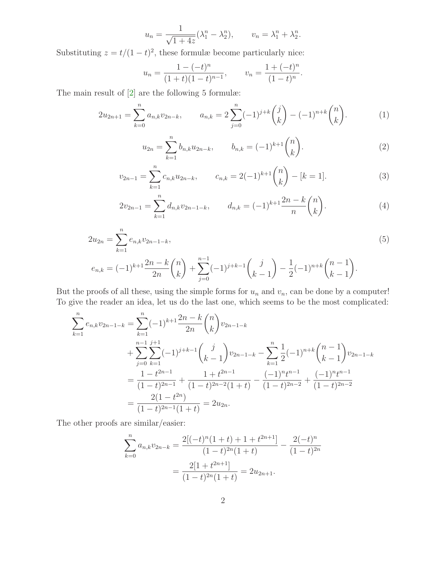$$
u_n = \frac{1}{\sqrt{1+4z}} (\lambda_1^n - \lambda_2^n), \qquad v_n = \lambda_1^n + \lambda_2^n.
$$

Substituting  $z = t/(1-t)^2$ , these formulæ become particularly nice:

$$
u_n = \frac{1 - (-t)^n}{(1 + t)(1 - t)^{n-1}}, \qquad v_n = \frac{1 + (-t)^n}{(1 - t)^n}.
$$

The main result of [\[2\]](#page-4-0) are the following 5 formulæ:

$$
2u_{2n+1} = \sum_{k=0}^{n} a_{n,k} v_{2n-k}, \qquad a_{n,k} = 2\sum_{j=0}^{n} (-1)^{j+k} {j \choose k} - (-1)^{n+k} {n \choose k}.
$$
 (1)

$$
u_{2n} = \sum_{k=1}^{n} b_{n,k} u_{2n-k}, \qquad b_{n,k} = (-1)^{k+1} \binom{n}{k}.
$$
 (2)

$$
v_{2n-1} = \sum_{k=1}^{n} c_{n,k} u_{2n-k}, \qquad c_{n,k} = 2(-1)^{k+1} \binom{n}{k} - [k=1]. \tag{3}
$$

$$
2v_{2n-1} = \sum_{k=1}^{n} d_{n,k}v_{2n-1-k}, \qquad d_{n,k} = (-1)^{k+1} \frac{2n-k}{n} {n \choose k}. \tag{4}
$$

$$
2u_{2n} = \sum_{k=1}^{n} e_{n,k}v_{2n-1-k},
$$
  
\n
$$
e_{n,k} = (-1)^{k+1} \frac{2n-k}{2n} {n \choose k} + \sum_{j=0}^{n-1} (-1)^{j+k-1} {j \choose k-1} - \frac{1}{2} (-1)^{n+k} {n-1 \choose k-1}.
$$
\n(5)

But the proofs of all these, using the simple forms for  $u_n$  and  $v_n$ , can be done by a computer! To give the reader an idea, let us do the last one, which seems to be the most complicated:

$$
\sum_{k=1}^{n} e_{n,k} v_{2n-1-k} = \sum_{k=1}^{n} (-1)^{k+1} \frac{2n-k}{2n} {n \choose k} v_{2n-1-k}
$$
  
+ 
$$
\sum_{j=0}^{n-1} \sum_{k=1}^{j+1} (-1)^{j+k-1} {j \choose k-1} v_{2n-1-k} - \sum_{k=1}^{n} \frac{1}{2} (-1)^{n+k} {n-1 \choose k-1} v_{2n-1-k}
$$
  
= 
$$
\frac{1-t^{2n-1}}{(1-t)^{2n-1}} + \frac{1+t^{2n-1}}{(1-t)^{2n-2}(1+t)} - \frac{(-1)^{n}t^{n-1}}{(1-t)^{2n-2}} + \frac{(-1)^{n}t^{n-1}}{(1-t)^{2n-2}}
$$
  
= 
$$
\frac{2(1-t^{2n})}{(1-t)^{2n-1}(1+t)} = 2u_{2n}.
$$

The other proofs are similar/easier:

$$
\sum_{k=0}^{n} a_{n,k} v_{2n-k} = \frac{2[(-t)^n (1+t) + 1 + t^{2n+1}]}{(1-t)^{2n} (1+t)} - \frac{2(-t)^n}{(1-t)^{2n}} = \frac{2[1 + t^{2n+1}]}{(1-t)^{2n} (1+t)} = 2u_{2n+1}.
$$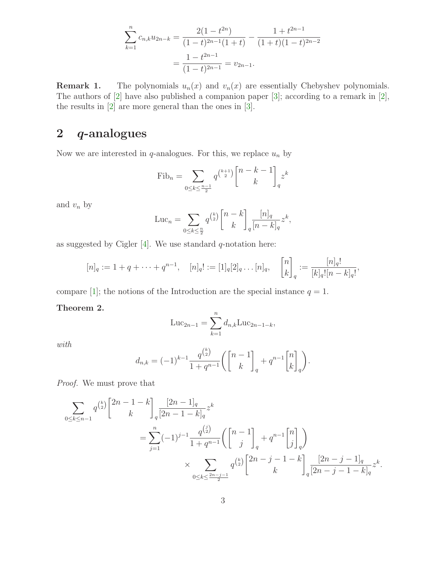$$
\sum_{k=1}^{n} c_{n,k} u_{2n-k} = \frac{2(1-t^{2n})}{(1-t)^{2n-1}(1+t)} - \frac{1+t^{2n-1}}{(1+t)(1-t)^{2n-2}}
$$

$$
= \frac{1-t^{2n-1}}{(1-t)^{2n-1}} = v_{2n-1}.
$$

**Remark 1.** The polynomials  $u_n(x)$  and  $v_n(x)$  are essentially Chebyshev polynomials. The authors of [\[2\]](#page-4-0) have also published a companion paper [\[3\]](#page-4-1); according to a remark in [\[2\]](#page-4-0), the results in [\[2\]](#page-4-0) are more general than the ones in [\[3\]](#page-4-1).

# 2 q-analogues

Now we are interested in  $q$ -analogues. For this, we replace  $u_n$  by

$$
Fib_n = \sum_{0 \le k \le \frac{n-1}{2}} q^{\binom{k+1}{2}} \binom{n-k-1}{k}_{q} z^k
$$

and  $v_n$  by

$$
\mathrm{Luc}_n = \sum_{0 \le k \le \frac{n}{2}} q^{\binom{k}{2}} \binom{n-k}{k} \frac{[n]_q}{[n-k]_q} z^k,
$$

as suggested by Cigler  $[4]$ . We use standard q-notation here:

$$
[n]_q := 1 + q + \dots + q^{n-1}, \quad [n]_q! := [1]_q[2]_q \dots [n]_q, \quad \begin{bmatrix} n \\ k \end{bmatrix}_q := \frac{[n]_q!}{[k]_q![n-k]_q!},
$$

compare [\[1\]](#page-4-3); the notions of the Introduction are the special instance  $q = 1$ .

### Theorem 2.

$$
Luc_{2n-1} = \sum_{k=1}^{n} d_{n,k} Luc_{2n-1-k},
$$

with

$$
d_{n,k} = (-1)^{k-1} \frac{q^{\binom{k}{2}}}{1+q^{n-1}} \left( \begin{bmatrix} n-1 \\ k \end{bmatrix}_q + q^{n-1} \begin{bmatrix} n \\ k \end{bmatrix}_q \right).
$$

Proof. We must prove that

$$
\sum_{0 \le k \le n-1} q^{\binom{k}{2}} \binom{2n-1-k}{k}_{q} \frac{[2n-1]_q}{[2n-1-k]_q} z^k
$$
\n
$$
= \sum_{j=1}^n (-1)^{j-1} \frac{q^{\binom{j}{2}}}{1+q^{n-1}} \left( \binom{n-1}{j}_{q} + q^{n-1} \binom{n}{j}_{q} \right)
$$
\n
$$
\times \sum_{0 \le k \le \frac{2n-j-1}{2}} q^{\binom{k}{2}} \binom{2n-j-1-k}{k}_{q} \frac{[2n-j-1]_q}{[2n-j-1-k]_q} z^k.
$$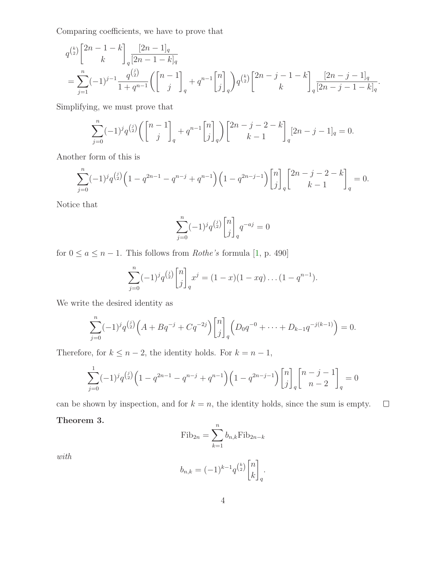Comparing coefficients, we have to prove that

$$
q^{\binom{k}{2}} \begin{bmatrix} 2n-1-k \\ k \end{bmatrix} \frac{[2n-1]_q}{[2n-1-k]_q}
$$
  
= 
$$
\sum_{j=1}^n (-1)^{j-1} \frac{q^{\binom{j}{2}}}{1+q^{n-1}} \left( \begin{bmatrix} n-1 \\ j \end{bmatrix}_q + q^{n-1} \begin{bmatrix} n \\ j \end{bmatrix}_q \right) q^{\binom{k}{2}} \begin{bmatrix} 2n-j-1-k \\ k \end{bmatrix}_q \frac{[2n-j-1]_q}{[2n-j-1-k]_q}.
$$

Simplifying, we must prove that

$$
\sum_{j=0}^{n} (-1)^{j} q^{\binom{j}{2}} \left( \begin{bmatrix} n-1 \\ j \end{bmatrix}_{q} + q^{n-1} \begin{bmatrix} n \\ j \end{bmatrix}_{q} \right) \begin{bmatrix} 2n-j-2-k \\ k-1 \end{bmatrix}_{q} [2n-j-1]_{q} = 0.
$$

Another form of this is

$$
\sum_{j=0}^{n} (-1)^{j} q^{\binom{j}{2}} \left( 1 - q^{2n-1} - q^{n-j} + q^{n-1} \right) \left( 1 - q^{2n-j-1} \right) {n \brack j}_q \begin{bmatrix} 2n-j-2-k \\ k-1 \end{bmatrix}_q = 0.
$$

Notice that

$$
\sum_{j=0}^{n} (-1)^{j} q^{\binom{j}{2}} \begin{bmatrix} n \\ j \end{bmatrix}_{q} q^{-aj} = 0
$$

for  $0 \le a \le n - 1$ . This follows from *Rothe's* formula [\[1,](#page-4-3) p. 490]

$$
\sum_{j=0}^{n} (-1)^{j} q^{\binom{j}{2}} \begin{bmatrix} n \\ j \end{bmatrix}_{q} x^{j} = (1-x)(1-xq) \dots (1-q^{n-1}).
$$

We write the desired identity as

$$
\sum_{j=0}^{n} (-1)^{j} q^{\binom{j}{2}} \left( A + Bq^{-j} + Cq^{-2j} \right) {n \brack j}_q \left( D_0 q^{-0} + \dots + D_{k-1} q^{-j(k-1)} \right) = 0.
$$

Therefore, for  $k \leq n-2$ , the identity holds. For  $k = n-1$ ,

$$
\sum_{j=0}^{1} (-1)^{j} q^{\binom{j}{2}} \left(1 - q^{2n-1} - q^{n-j} + q^{n-1}\right) \left(1 - q^{2n-j-1}\right) {n \brack j}_q {n-j-1 \brack n-2}_q = 0
$$

can be shown by inspection, and for  $k = n$ , the identity holds, since the sum is empty.  $\Box$ 

### Theorem 3.

$$
\text{Fib}_{2n} = \sum_{k=1}^{n} b_{n,k} \text{Fib}_{2n-k}
$$

with

$$
b_{n,k} = (-1)^{k-1} q^{\binom{k}{2}} \begin{bmatrix} n \\ k \end{bmatrix}_q.
$$